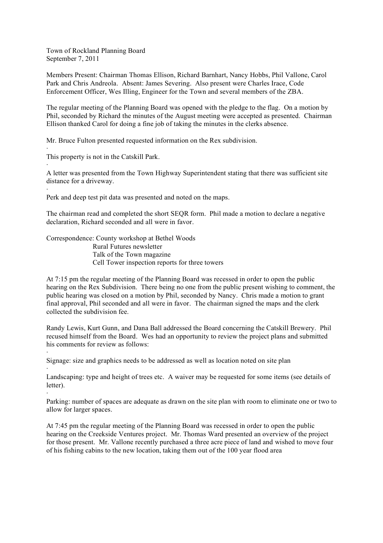Town of Rockland Planning Board September 7, 2011

Members Present: Chairman Thomas Ellison, Richard Barnhart, Nancy Hobbs, Phil Vallone, Carol Park and Chris Andreola. Absent: James Severing. Also present were Charles Irace, Code Enforcement Officer, Wes Illing, Engineer for the Town and several members of the ZBA.

The regular meeting of the Planning Board was opened with the pledge to the flag. On a motion by Phil, seconded by Richard the minutes of the August meeting were accepted as presented. Chairman Ellison thanked Carol for doing a fine job of taking the minutes in the clerks absence.

Mr. Bruce Fulton presented requested information on the Rex subdivision.

This property is not in the Catskill Park.

·

·

·

·

·

·

A letter was presented from the Town Highway Superintendent stating that there was sufficient site distance for a driveway.

Perk and deep test pit data was presented and noted on the maps.

The chairman read and completed the short SEQR form. Phil made a motion to declare a negative declaration, Richard seconded and all were in favor.

Correspondence: County workshop at Bethel Woods Rural Futures newsletter Talk of the Town magazine Cell Tower inspection reports for three towers

At 7:15 pm the regular meeting of the Planning Board was recessed in order to open the public hearing on the Rex Subdivision. There being no one from the public present wishing to comment, the public hearing was closed on a motion by Phil, seconded by Nancy. Chris made a motion to grant final approval, Phil seconded and all were in favor. The chairman signed the maps and the clerk collected the subdivision fee.

Randy Lewis, Kurt Gunn, and Dana Ball addressed the Board concerning the Catskill Brewery. Phil recused himself from the Board. Wes had an opportunity to review the project plans and submitted his comments for review as follows:

Signage: size and graphics needs to be addressed as well as location noted on site plan

Landscaping: type and height of trees etc. A waiver may be requested for some items (see details of letter).

Parking: number of spaces are adequate as drawn on the site plan with room to eliminate one or two to allow for larger spaces.

At 7:45 pm the regular meeting of the Planning Board was recessed in order to open the public hearing on the Creekside Ventures project. Mr. Thomas Ward presented an overview of the project for those present. Mr. Vallone recently purchased a three acre piece of land and wished to move four of his fishing cabins to the new location, taking them out of the 100 year flood area